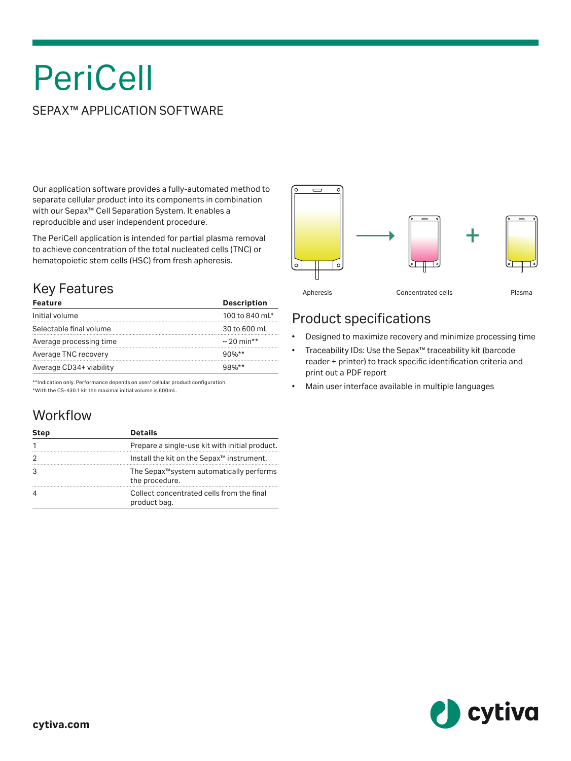# **PeriCell**

#### SEPAX™ APPLICATION SOFTWARE

Our application software provides a fully-automated method to separate cellular product into its components in combination with our Sepax™ Cell Separation System. It enables a reproducible and user independent procedure.

The PeriCell application is intended for partial plasma removal to achieve concentration of the total nucleated cells (TNC) or hematopoietic stem cells (HSC) from fresh apheresis.

# Key Features

| <b>Feature</b>          | <b>Description</b> |
|-------------------------|--------------------|
| Initial volume          | 100 to 840 mL*     |
| Selectable final volume | 30 to 600 mL       |
| Average processing time | $\sim$ 20 min**    |
| Average TNC recovery    | $90%**$            |
| Average CD34+ viability | $98\%**$           |

\*\*Indication only. Performance depends on user/ cellular product configuration. \*With the CS-430.1 kit the maximal initial volume is 600mL.

### Workflow

| <b>Step</b> | <b>Details</b>                                                         |
|-------------|------------------------------------------------------------------------|
|             | Prepare a single-use kit with initial product.                         |
|             | Install the kit on the Sepax <sup>™</sup> instrument.                  |
|             | The Sepax <sup>™</sup> system automatically performs<br>the procedure. |
|             | Collect concentrated cells from the final<br>product bag.              |



#### Product specifications

- Designed to maximize recovery and minimize processing time
- Traceability IDs: Use the Sepax™ traceability kit (barcode reader + printer) to track specific identification criteria and print out a PDF report
- Main user interface available in multiple languages